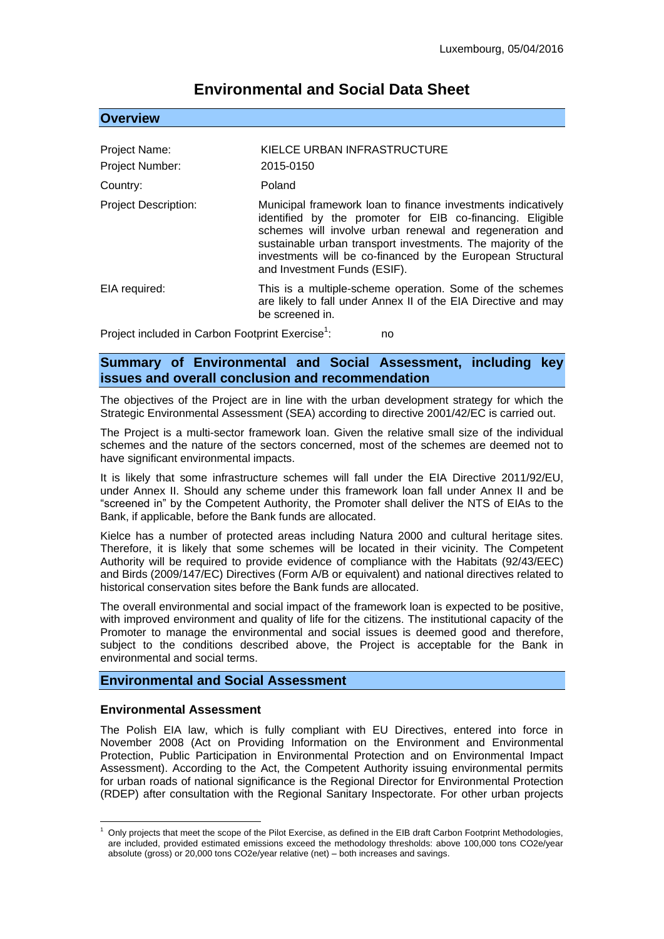# **Environmental and Social Data Sheet**

## **Overview**

| Project Name:<br>Project Number: | KIELCE URBAN INFRASTRUCTURE<br>2015-0150                                                                                                                                                                                                                                                                                                           |
|----------------------------------|----------------------------------------------------------------------------------------------------------------------------------------------------------------------------------------------------------------------------------------------------------------------------------------------------------------------------------------------------|
| Country:                         | Poland                                                                                                                                                                                                                                                                                                                                             |
| <b>Project Description:</b>      | Municipal framework loan to finance investments indicatively<br>identified by the promoter for EIB co-financing. Eligible<br>schemes will involve urban renewal and regeneration and<br>sustainable urban transport investments. The majority of the<br>investments will be co-financed by the European Structural<br>and Investment Funds (ESIF). |
| EIA required:                    | This is a multiple-scheme operation. Some of the schemes<br>are likely to fall under Annex II of the EIA Directive and may<br>be screened in.                                                                                                                                                                                                      |

Project included in Carbon Footprint Exercise<sup>1</sup>: : no

## **Summary of Environmental and Social Assessment, including key issues and overall conclusion and recommendation**

The objectives of the Project are in line with the urban development strategy for which the Strategic Environmental Assessment (SEA) according to directive 2001/42/EC is carried out.

The Project is a multi-sector framework loan. Given the relative small size of the individual schemes and the nature of the sectors concerned, most of the schemes are deemed not to have significant environmental impacts.

It is likely that some infrastructure schemes will fall under the EIA Directive 2011/92/EU, under Annex II. Should any scheme under this framework loan fall under Annex II and be "screened in" by the Competent Authority, the Promoter shall deliver the NTS of EIAs to the Bank, if applicable, before the Bank funds are allocated.

Kielce has a number of protected areas including Natura 2000 and cultural heritage sites. Therefore, it is likely that some schemes will be located in their vicinity. The Competent Authority will be required to provide evidence of compliance with the Habitats (92/43/EEC) and Birds (2009/147/EC) Directives (Form A/B or equivalent) and national directives related to historical conservation sites before the Bank funds are allocated.

The overall environmental and social impact of the framework loan is expected to be positive, with improved environment and quality of life for the citizens. The institutional capacity of the Promoter to manage the environmental and social issues is deemed good and therefore, subject to the conditions described above, the Project is acceptable for the Bank in environmental and social terms.

## **Environmental and Social Assessment**

#### **Environmental Assessment**

1

The Polish EIA law, which is fully compliant with EU Directives, entered into force in November 2008 (Act on Providing Information on the Environment and Environmental Protection, Public Participation in Environmental Protection and on Environmental Impact Assessment). According to the Act, the Competent Authority issuing environmental permits for urban roads of national significance is the Regional Director for Environmental Protection (RDEP) after consultation with the Regional Sanitary Inspectorate. For other urban projects

<sup>1</sup> Only projects that meet the scope of the Pilot Exercise, as defined in the EIB draft Carbon Footprint Methodologies, are included, provided estimated emissions exceed the methodology thresholds: above 100,000 tons CO2e/year absolute (gross) or 20,000 tons CO2e/year relative (net) – both increases and savings.